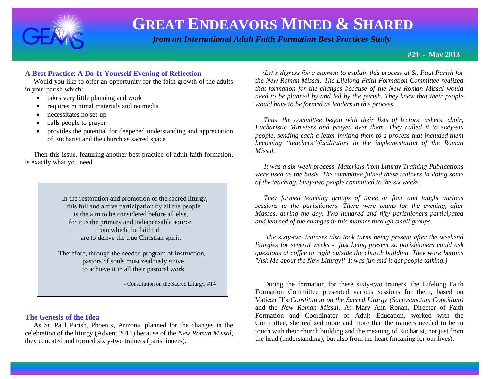

# **GREAT ENDEAVORS MINED & SHARED**

 *from an International Adult Faith Formation Best Practices Study*

**#29 - May 2013**

# **A Best Practice**: **A Do-It-Yourself Evening of Reflection**

 Would you like to offer an opportunity for the faith growth of the adults in your parish which:

- takes very little planning and work
- requires minimal materials and no media
- necessitates no set-up
- calls people to prayer
- provides the potential for deepened understanding and appreciation of Eucharist and the church as sacred space

 Then this issue, featuring another best practice of adult faith formation, is exactly what you need.

> In the restoration and promotion of the sacred liturgy, this full and active participation by all the people is the aim to be considered before all else, for it is the primary and indispensable source from which the faithful are to derive the true Christian spirit.

Therefore, through the needed program of instruction, pastors of souls must zealously strive to achieve it in all their pastoral work.

- Constitution on the Sacred Liturgy, #14

## **The Genesis of the Idea**

 As St. Paul Parish, Phoenix, Arizona, planned for the changes in the celebration of the liturgy (Advent 2011) because of the *New Roman Missal*, they educated and formed sixty-two trainers (parishioners).

 *(Let's digress for a moment to explain this process at St. Paul Parish for the New Roman Missal: The Lifelong Faith Formation Committee realized that formation for the changes because of the New Roman Missal would need to be planned by and led by the parish. They knew that their people would have to be formed as leaders in this process.*

 *Thus, the committee began with their lists of lectors, ushers, choir, Eucharistic Ministers and prayed over them. They culled it to sixty-six people, sending each a letter inviting them to a process that included them becoming "teachers"/facilitators in the implementation of the Roman Missal.* 

 *It was a six-week process. Materials from Liturgy Training Publications were used as the basis. The committee joined these trainers in doing some of the teaching. Sixty-two people committed to the six weeks.* 

 *They formed teaching groups of three or four and taught various sessions to the parishioners. There were teams for the evening, after Masses, during the day. Two hundred and fifty parishioners participated and learned of the changes in this manner through small groups.*

 *The sixty-two trainers also took turns being present after the weekend liturgies for several weeks - just being present so parishioners could ask questions at coffee or right outside the church building. They wore buttons "Ask Me about the New Liturgy!" It was fun and it got people talking.)*

 During the formation for these sixty-two trainers, the Lifelong Faith Formation Committee presented various sessions for them, based on Vatican II's *Constitution on the Sacred Liturgy (Sacrosanctum Concilium)* and the *New Roman Missal*. As Mary Ann Ronan, Director of Faith Formation and Coordinator of Adult Education, worked with the Committee, she realized more and more that the trainers needed to be in touch with their church building and the meaning of Eucharist, not just from the head (understanding), but also from the heart (meaning for our lives).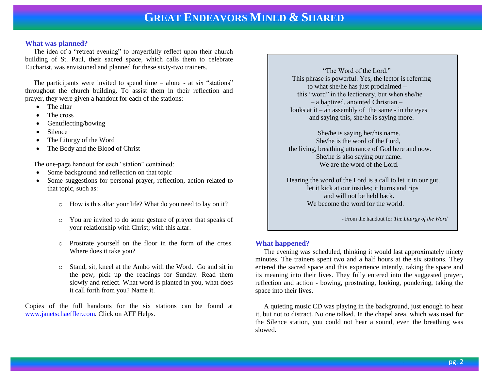#### **What was planned?**

 The idea of a "retreat evening" to prayerfully reflect upon their church building of St. Paul, their sacred space, which calls them to celebrate Eucharist, was envisioned and planned for these sixty-two trainers.

 The participants were invited to spend time – alone - at six "stations" throughout the church building. To assist them in their reflection and prayer, they were given a handout for each of the stations:

- The altar
- The cross
- Genuflecting/bowing
- Silence
- The Liturgy of the Word
- The Body and the Blood of Christ

The one-page handout for each "station" contained:

- Some background and reflection on that topic
- Some suggestions for personal prayer, reflection, action related to that topic, such as:
	- o How is this altar your life? What do you need to lay on it?
	- o You are invited to do some gesture of prayer that speaks of your relationship with Christ; with this altar.
	- o Prostrate yourself on the floor in the form of the cross. Where does it take you?
	- o Stand, sit, kneel at the Ambo with the Word. Go and sit in the pew, pick up the readings for Sunday. Read them slowly and reflect. What word is planted in you, what does it call forth from you? Name it.

Copies of the full handouts for the six stations can be found at [www.janetschaeffler.com.](http://www.janetschaeffler.com/) Click on AFF Helps.

 "The Word of the Lord." This phrase is powerful. Yes, the lector is referring to what she/he has just proclaimed – this "word" in the lectionary, but when she/he – a baptized, anointed Christian – looks at  $it -$ an assembly of the same - in the eyes and saying this, she/he is saying more.

 She/he is saying her/his name. She/he is the word of the Lord, the living, breathing utterance of God here and now. She/he is also saying our name. We are the word of the Lord.

 Hearing the word of the Lord is a call to let it in our gut, let it kick at our insides; it burns and rips and will not be held back. We become the word for the world.

- From the handout for *The Liturgy of the Word*

#### **What happened?**

 The evening was scheduled, thinking it would last approximately ninety minutes. The trainers spent two and a half hours at the six stations. They entered the sacred space and this experience intently, taking the space and its meaning into their lives. They fully entered into the suggested prayer, reflection and action - bowing, prostrating, looking, pondering, taking the space into their lives.

 A quieting music CD was playing in the background, just enough to hear it, but not to distract. No one talked. In the chapel area, which was used for the Silence station, you could not hear a sound, even the breathing was slowed.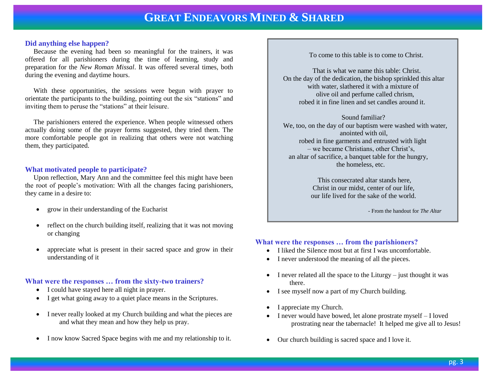# **GREAT ENDEAVORS MINED & SHARED**

#### **Did anything else happen?**

 Because the evening had been so meaningful for the trainers, it was offered for all parishioners during the time of learning, study and preparation for the *New Roman Missal*. It was offered several times, both during the evening and daytime hours.

 With these opportunities, the sessions were begun with prayer to orientate the participants to the building, pointing out the six "stations" and inviting them to peruse the "stations" at their leisure.

 The parishioners entered the experience. When people witnessed others actually doing some of the prayer forms suggested, they tried them. The more comfortable people got in realizing that others were not watching them, they participated.

## **What motivated people to participate?**

 Upon reflection, Mary Ann and the committee feel this might have been the root of people's motivation: With all the changes facing parishioners, they came in a desire to:

- grow in their understanding of the Eucharist
- reflect on the church building itself, realizing that it was not moving or changing
- appreciate what is present in their sacred space and grow in their understanding of it

#### **What were the responses … from the sixty-two trainers?**

- I could have stayed here all night in prayer.
- I get what going away to a quiet place means in the Scriptures.
- I never really looked at my Church building and what the pieces are and what they mean and how they help us pray.
- I now know Sacred Space begins with me and my relationship to it.

To come to this table is to come to Christ.

 That is what we name this table: Christ. On the day of the dedication, the bishop sprinkled this altar with water, slathered it with a mixture of olive oil and perfume called chrism, robed it in fine linen and set candles around it.

 Sound familiar? We, too, on the day of our baptism were washed with water, anointed with oil, robed in fine garments and entrusted with light – we became Christians, other Christ's, an altar of sacrifice, a banquet table for the hungry, the homeless, etc.

> This consecrated altar stands here, Christ in our midst, center of our life, our life lived for the sake of the world.

> > - From the handout for *The Altar*

#### **What were the responses … from the parishioners?**

- I liked the Silence most but at first I was uncomfortable.
- I never understood the meaning of all the pieces.
- $\bullet$  I never related all the space to the Liturgy just thought it was there.
- I see myself now a part of my Church building.
- I appreciate my Church.
- I never would have bowed, let alone prostrate myself I loved prostrating near the tabernacle! It helped me give all to Jesus!
- Our church building is sacred space and I love it.